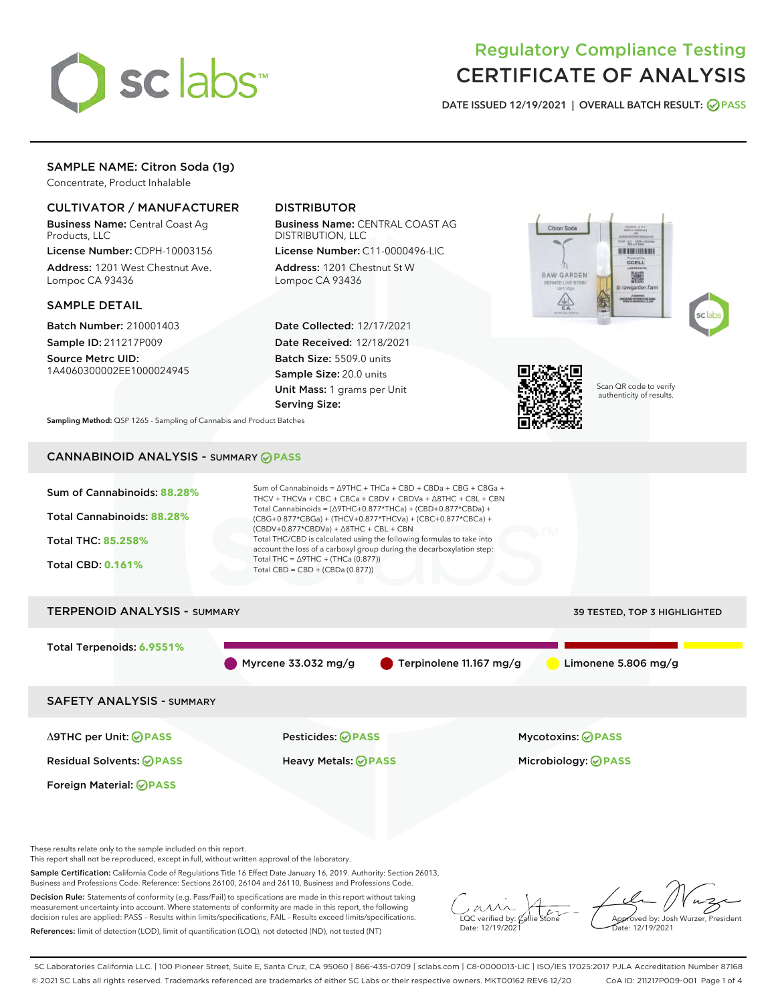

# Regulatory Compliance Testing CERTIFICATE OF ANALYSIS

DATE ISSUED 12/19/2021 | OVERALL BATCH RESULT: @ PASS

# SAMPLE NAME: Citron Soda (1g)

Concentrate, Product Inhalable

# CULTIVATOR / MANUFACTURER

Business Name: Central Coast Ag Products, LLC

License Number: CDPH-10003156 Address: 1201 West Chestnut Ave. Lompoc CA 93436

# SAMPLE DETAIL

Batch Number: 210001403 Sample ID: 211217P009

Source Metrc UID: 1A4060300002EE1000024945

# DISTRIBUTOR

Business Name: CENTRAL COAST AG DISTRIBUTION, LLC

License Number: C11-0000496-LIC Address: 1201 Chestnut St W Lompoc CA 93436

Date Collected: 12/17/2021 Date Received: 12/18/2021 Batch Size: 5509.0 units Sample Size: 20.0 units Unit Mass: 1 grams per Unit Serving Size:







Scan QR code to verify authenticity of results.

Sampling Method: QSP 1265 - Sampling of Cannabis and Product Batches

# CANNABINOID ANALYSIS - SUMMARY **PASS**



Sample Certification: California Code of Regulations Title 16 Effect Date January 16, 2019. Authority: Section 26013, Business and Professions Code. Reference: Sections 26100, 26104 and 26110, Business and Professions Code.

Decision Rule: Statements of conformity (e.g. Pass/Fail) to specifications are made in this report without taking measurement uncertainty into account. Where statements of conformity are made in this report, the following decision rules are applied: PASS – Results within limits/specifications, FAIL – Results exceed limits/specifications. References: limit of detection (LOD), limit of quantification (LOQ), not detected (ND), not tested (NT)

 $\overline{\text{LOC}}$  verified by:  $\mathcal{C}_i$ Date: 12/19/2021

Approved by: Josh Wurzer, President ate: 12/19/2021

SC Laboratories California LLC. | 100 Pioneer Street, Suite E, Santa Cruz, CA 95060 | 866-435-0709 | sclabs.com | C8-0000013-LIC | ISO/IES 17025:2017 PJLA Accreditation Number 87168 © 2021 SC Labs all rights reserved. Trademarks referenced are trademarks of either SC Labs or their respective owners. MKT00162 REV6 12/20 CoA ID: 211217P009-001 Page 1 of 4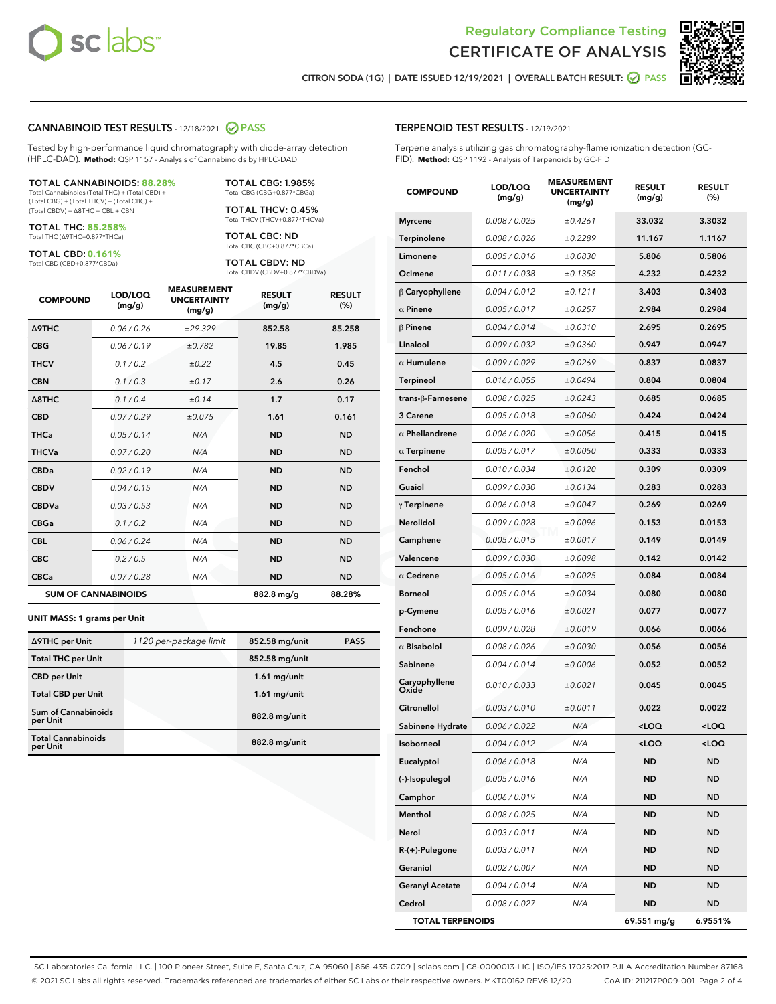



CITRON SODA (1G) | DATE ISSUED 12/19/2021 | OVERALL BATCH RESULT: @ PASS

## CANNABINOID TEST RESULTS - 12/18/2021 2 PASS

Tested by high-performance liquid chromatography with diode-array detection (HPLC-DAD). **Method:** QSP 1157 - Analysis of Cannabinoids by HPLC-DAD

#### TOTAL CANNABINOIDS: **88.28%**

Total Cannabinoids (Total THC) + (Total CBD) + (Total CBG) + (Total THCV) + (Total CBC) + (Total CBDV) + ∆8THC + CBL + CBN

TOTAL THC: **85.258%** Total THC (∆9THC+0.877\*THCa)

TOTAL CBD: **0.161%**

Total CBD (CBD+0.877\*CBDa)

TOTAL CBG: 1.985% Total CBG (CBG+0.877\*CBGa)

TOTAL THCV: 0.45% Total THCV (THCV+0.877\*THCVa)

TOTAL CBC: ND Total CBC (CBC+0.877\*CBCa)

TOTAL CBDV: ND Total CBDV (CBDV+0.877\*CBDVa)

| <b>COMPOUND</b>  | LOD/LOQ<br>(mg/g)          | <b>MEASUREMENT</b><br><b>UNCERTAINTY</b><br>(mg/g) | <b>RESULT</b><br>(mg/g) | <b>RESULT</b><br>(%) |
|------------------|----------------------------|----------------------------------------------------|-------------------------|----------------------|
| <b>A9THC</b>     | 0.06 / 0.26                | ±29.329                                            | 852.58                  | 85.258               |
| <b>CBG</b>       | 0.06/0.19                  | ±0.782                                             | 19.85                   | 1.985                |
| <b>THCV</b>      | 0.1 / 0.2                  | ±0.22                                              | 4.5                     | 0.45                 |
| <b>CBN</b>       | 0.1/0.3                    | ±0.17                                              | 2.6                     | 0.26                 |
| $\triangle$ 8THC | 0.1/0.4                    | ±0.14                                              | 1.7                     | 0.17                 |
| <b>CBD</b>       | 0.07/0.29                  | ±0.075                                             | 1.61                    | 0.161                |
| <b>THCa</b>      | 0.05/0.14                  | N/A                                                | <b>ND</b>               | <b>ND</b>            |
| <b>THCVa</b>     | 0.07/0.20                  | N/A                                                | <b>ND</b>               | <b>ND</b>            |
| <b>CBDa</b>      | 0.02/0.19                  | N/A                                                | <b>ND</b>               | <b>ND</b>            |
| <b>CBDV</b>      | 0.04 / 0.15                | N/A                                                | <b>ND</b>               | <b>ND</b>            |
| <b>CBDVa</b>     | 0.03/0.53                  | N/A                                                | <b>ND</b>               | <b>ND</b>            |
| <b>CBGa</b>      | 0.1 / 0.2                  | N/A                                                | <b>ND</b>               | <b>ND</b>            |
| <b>CBL</b>       | 0.06 / 0.24                | N/A                                                | <b>ND</b>               | <b>ND</b>            |
| <b>CBC</b>       | 0.2 / 0.5                  | N/A                                                | <b>ND</b>               | <b>ND</b>            |
| <b>CBCa</b>      | 0.07/0.28                  | N/A                                                | <b>ND</b>               | <b>ND</b>            |
|                  | <b>SUM OF CANNABINOIDS</b> |                                                    | 882.8 mg/g              | 88.28%               |

#### **UNIT MASS: 1 grams per Unit**

| ∆9THC per Unit                         | 1120 per-package limit | 852.58 mg/unit | <b>PASS</b> |
|----------------------------------------|------------------------|----------------|-------------|
| <b>Total THC per Unit</b>              |                        | 852.58 mg/unit |             |
| <b>CBD per Unit</b>                    |                        | $1.61$ mg/unit |             |
| <b>Total CBD per Unit</b>              |                        | $1.61$ mg/unit |             |
| <b>Sum of Cannabinoids</b><br>per Unit |                        | 882.8 mg/unit  |             |
| <b>Total Cannabinoids</b><br>per Unit  |                        | 882.8 mg/unit  |             |

# TERPENOID TEST RESULTS - 12/19/2021

Terpene analysis utilizing gas chromatography-flame ionization detection (GC-FID). **Method:** QSP 1192 - Analysis of Terpenoids by GC-FID

| <b>COMPOUND</b>         | LOD/LOQ<br>(mg/g)    | <b>MEASUREMENT</b><br><b>UNCERTAINTY</b><br>(mg/g) | <b>RESULT</b><br>(mg/g)                         | <b>RESULT</b><br>(%) |
|-------------------------|----------------------|----------------------------------------------------|-------------------------------------------------|----------------------|
| <b>Myrcene</b>          | 0.008 / 0.025        | ±0.4261                                            | 33.032                                          | 3.3032               |
| Terpinolene             | 0.008 / 0.026        | ±0.2289                                            | 11.167                                          | 1.1167               |
| Limonene                | 0.005 / 0.016        | ±0.0830                                            | 5.806                                           | 0.5806               |
| Ocimene                 | 0.011 / 0.038        | ±0.1358                                            | 4.232                                           | 0.4232               |
| $\beta$ Caryophyllene   | 0.004 / 0.012        | ±0.1211                                            | 3.403                                           | 0.3403               |
| $\alpha$ Pinene         | 0.005 / 0.017        | ±0.0257                                            | 2.984                                           | 0.2984               |
| $\beta$ Pinene          | 0.004 / 0.014        | ±0.0310                                            | 2.695                                           | 0.2695               |
| Linalool                | 0.009/0.032          | ±0.0360                                            | 0.947                                           | 0.0947               |
| $\alpha$ Humulene       | 0.009 / 0.029        | ±0.0269                                            | 0.837                                           | 0.0837               |
| Terpineol               | 0.016 / 0.055        | ±0.0494                                            | 0.804                                           | 0.0804               |
| trans-β-Farnesene       | 0.008 / 0.025        | ±0.0243                                            | 0.685                                           | 0.0685               |
| 3 Carene                | 0.005 / 0.018        | ±0.0060                                            | 0.424                                           | 0.0424               |
| $\alpha$ Phellandrene   | 0.006 / 0.020        | ±0.0056                                            | 0.415                                           | 0.0415               |
| $\alpha$ Terpinene      | 0.005 / 0.017        | ±0.0050                                            | 0.333                                           | 0.0333               |
| Fenchol                 | 0.010 / 0.034        | ±0.0120                                            | 0.309                                           | 0.0309               |
| Guaiol                  | <i>0.009 / 0.030</i> | ±0.0134                                            | 0.283                                           | 0.0283               |
| $\gamma$ Terpinene      | 0.006 / 0.018        | ±0.0047                                            | 0.269                                           | 0.0269               |
| <b>Nerolidol</b>        | 0.009 / 0.028        | ±0.0096                                            | 0.153                                           | 0.0153               |
| Camphene                | 0.005 / 0.015        | ±0.0017                                            | 0.149                                           | 0.0149               |
| Valencene               | 0.009 / 0.030        | ±0.0098                                            | 0.142                                           | 0.0142               |
| $\alpha$ Cedrene        | 0.005 / 0.016        | ±0.0025                                            | 0.084                                           | 0.0084               |
| <b>Borneol</b>          | 0.005 / 0.016        | ±0.0034                                            | 0.080                                           | 0.0080               |
| p-Cymene                | 0.005 / 0.016        | ±0.0021                                            | 0.077                                           | 0.0077               |
| Fenchone                | 0.009 / 0.028        | ±0.0019                                            | 0.066                                           | 0.0066               |
| $\alpha$ Bisabolol      | 0.008 / 0.026        | ±0.0030                                            | 0.056                                           | 0.0056               |
| Sabinene                | 0.004 / 0.014        | ±0.0006                                            | 0.052                                           | 0.0052               |
| Caryophyllene<br>Oxide  | 0.010 / 0.033        | ±0.0021                                            | 0.045                                           | 0.0045               |
| Citronellol             | 0.003 / 0.010        | ±0.0011                                            | 0.022                                           | 0.0022               |
| Sabinene Hydrate        | 0.006 / 0.022        | N/A                                                | $<$ LOQ                                         | $<$ LOQ              |
| Isoborneol              | 0.004 / 0.012        | N/A                                                | <loq< th=""><th><loq< th=""></loq<></th></loq<> | <loq< th=""></loq<>  |
| Eucalyptol              | 0.006 / 0.018        | N/A                                                | ND                                              | ND                   |
| (-)-Isopulegol          | 0.005 / 0.016        | N/A                                                | <b>ND</b>                                       | ND                   |
| Camphor                 | 0.006 / 0.019        | N/A                                                | <b>ND</b>                                       | ND                   |
| Menthol                 | 0.008 / 0.025        | N/A                                                | ND                                              | ND                   |
| Nerol                   | 0.003 / 0.011        | N/A                                                | ND                                              | ND                   |
| R-(+)-Pulegone          | 0.003 / 0.011        | N/A                                                | <b>ND</b>                                       | ND                   |
| Geraniol                | 0.002 / 0.007        | N/A                                                | ND                                              | ND                   |
| <b>Geranyl Acetate</b>  | 0.004 / 0.014        | N/A                                                | ND                                              | ND                   |
| Cedrol                  | 0.008 / 0.027        | N/A                                                | <b>ND</b>                                       | ND                   |
| <b>TOTAL TERPENOIDS</b> |                      |                                                    | 69.551 mg/g                                     | 6.9551%              |

SC Laboratories California LLC. | 100 Pioneer Street, Suite E, Santa Cruz, CA 95060 | 866-435-0709 | sclabs.com | C8-0000013-LIC | ISO/IES 17025:2017 PJLA Accreditation Number 87168 © 2021 SC Labs all rights reserved. Trademarks referenced are trademarks of either SC Labs or their respective owners. MKT00162 REV6 12/20 CoA ID: 211217P009-001 Page 2 of 4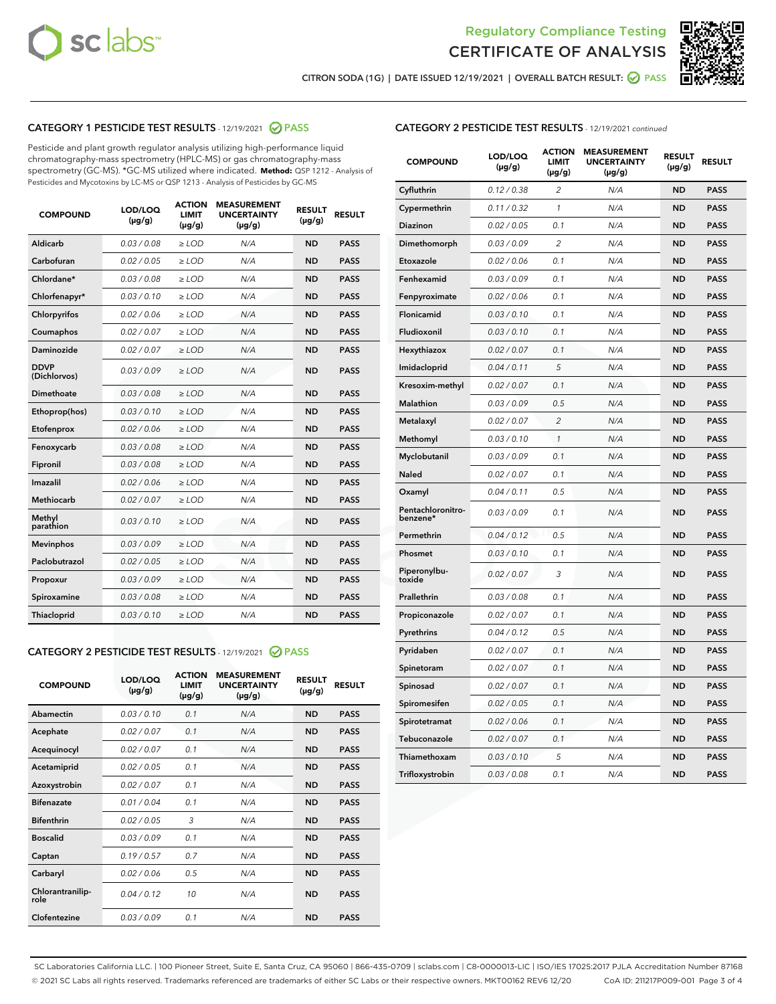



CITRON SODA (1G) | DATE ISSUED 12/19/2021 | OVERALL BATCH RESULT: O PASS

# CATEGORY 1 PESTICIDE TEST RESULTS - 12/19/2021 2 PASS

Pesticide and plant growth regulator analysis utilizing high-performance liquid chromatography-mass spectrometry (HPLC-MS) or gas chromatography-mass spectrometry (GC-MS). \*GC-MS utilized where indicated. **Method:** QSP 1212 - Analysis of Pesticides and Mycotoxins by LC-MS or QSP 1213 - Analysis of Pesticides by GC-MS

| 0.03 / 0.08<br><b>ND</b><br><b>PASS</b><br>Aldicarb<br>$\ge$ LOD<br>N/A<br>Carbofuran<br>0.02 / 0.05<br>N/A<br>$\ge$ LOD<br><b>ND</b><br><b>PASS</b><br>Chlordane*<br>0.03 / 0.08<br>$\ge$ LOD<br>N/A<br><b>ND</b><br><b>PASS</b><br>Chlorfenapyr*<br>0.03/0.10<br>$\ge$ LOD<br>N/A<br><b>ND</b><br><b>PASS</b><br>0.02 / 0.06<br>N/A<br><b>ND</b><br><b>PASS</b><br>Chlorpyrifos<br>$\ge$ LOD<br>N/A<br>Coumaphos<br>0.02 / 0.07<br><b>ND</b><br><b>PASS</b><br>$\ge$ LOD<br>Daminozide<br>0.02 / 0.07<br>N/A<br><b>ND</b><br><b>PASS</b><br>$\ge$ LOD<br><b>DDVP</b><br>0.03/0.09<br>$>$ LOD<br>N/A<br><b>ND</b><br><b>PASS</b><br>(Dichlorvos)<br>Dimethoate<br>0.03/0.08<br>$\ge$ LOD<br>N/A<br><b>PASS</b><br><b>ND</b><br>0.03 / 0.10<br>N/A<br><b>ND</b><br><b>PASS</b><br>Ethoprop(hos)<br>$>$ LOD<br>0.02 / 0.06<br>N/A<br><b>ND</b><br><b>PASS</b><br>$\ge$ LOD<br>Etofenprox<br>Fenoxycarb<br>0.03/0.08<br>$\ge$ LOD<br>N/A<br><b>ND</b><br><b>PASS</b><br>0.03/0.08<br>$\ge$ LOD<br>N/A<br><b>ND</b><br><b>PASS</b><br>Fipronil<br>Imazalil<br>0.02 / 0.06<br>$>$ LOD<br>N/A<br><b>ND</b><br><b>PASS</b><br><b>Methiocarb</b><br>0.02 / 0.07<br>$\ge$ LOD<br>N/A<br><b>ND</b><br><b>PASS</b><br>Methyl<br>0.03/0.10<br>N/A<br><b>ND</b><br>$\ge$ LOD<br><b>PASS</b><br>parathion<br>0.03/0.09<br><b>Mevinphos</b><br>$\ge$ LOD<br>N/A<br><b>ND</b><br><b>PASS</b><br>Paclobutrazol<br>0.02 / 0.05<br>N/A<br>$>$ LOD<br><b>ND</b><br><b>PASS</b><br>0.03/0.09<br>N/A<br>$\ge$ LOD<br><b>ND</b><br><b>PASS</b><br>Propoxur<br>0.03 / 0.08<br><b>ND</b><br><b>PASS</b><br>Spiroxamine<br>$\ge$ LOD<br>N/A<br>Thiacloprid<br>0.03/0.10<br>N/A<br><b>ND</b><br><b>PASS</b><br>$\ge$ LOD | <b>COMPOUND</b> | LOD/LOQ<br>$(\mu g/g)$ | <b>ACTION</b><br><b>LIMIT</b><br>$(\mu g/g)$ | <b>MEASUREMENT</b><br><b>UNCERTAINTY</b><br>$(\mu g/g)$ | <b>RESULT</b><br>$(\mu g/g)$ | <b>RESULT</b> |
|------------------------------------------------------------------------------------------------------------------------------------------------------------------------------------------------------------------------------------------------------------------------------------------------------------------------------------------------------------------------------------------------------------------------------------------------------------------------------------------------------------------------------------------------------------------------------------------------------------------------------------------------------------------------------------------------------------------------------------------------------------------------------------------------------------------------------------------------------------------------------------------------------------------------------------------------------------------------------------------------------------------------------------------------------------------------------------------------------------------------------------------------------------------------------------------------------------------------------------------------------------------------------------------------------------------------------------------------------------------------------------------------------------------------------------------------------------------------------------------------------------------------------------------------------------------------------------------------------------------------------------------------------------------------------------------------|-----------------|------------------------|----------------------------------------------|---------------------------------------------------------|------------------------------|---------------|
|                                                                                                                                                                                                                                                                                                                                                                                                                                                                                                                                                                                                                                                                                                                                                                                                                                                                                                                                                                                                                                                                                                                                                                                                                                                                                                                                                                                                                                                                                                                                                                                                                                                                                                |                 |                        |                                              |                                                         |                              |               |
|                                                                                                                                                                                                                                                                                                                                                                                                                                                                                                                                                                                                                                                                                                                                                                                                                                                                                                                                                                                                                                                                                                                                                                                                                                                                                                                                                                                                                                                                                                                                                                                                                                                                                                |                 |                        |                                              |                                                         |                              |               |
|                                                                                                                                                                                                                                                                                                                                                                                                                                                                                                                                                                                                                                                                                                                                                                                                                                                                                                                                                                                                                                                                                                                                                                                                                                                                                                                                                                                                                                                                                                                                                                                                                                                                                                |                 |                        |                                              |                                                         |                              |               |
|                                                                                                                                                                                                                                                                                                                                                                                                                                                                                                                                                                                                                                                                                                                                                                                                                                                                                                                                                                                                                                                                                                                                                                                                                                                                                                                                                                                                                                                                                                                                                                                                                                                                                                |                 |                        |                                              |                                                         |                              |               |
|                                                                                                                                                                                                                                                                                                                                                                                                                                                                                                                                                                                                                                                                                                                                                                                                                                                                                                                                                                                                                                                                                                                                                                                                                                                                                                                                                                                                                                                                                                                                                                                                                                                                                                |                 |                        |                                              |                                                         |                              |               |
|                                                                                                                                                                                                                                                                                                                                                                                                                                                                                                                                                                                                                                                                                                                                                                                                                                                                                                                                                                                                                                                                                                                                                                                                                                                                                                                                                                                                                                                                                                                                                                                                                                                                                                |                 |                        |                                              |                                                         |                              |               |
|                                                                                                                                                                                                                                                                                                                                                                                                                                                                                                                                                                                                                                                                                                                                                                                                                                                                                                                                                                                                                                                                                                                                                                                                                                                                                                                                                                                                                                                                                                                                                                                                                                                                                                |                 |                        |                                              |                                                         |                              |               |
|                                                                                                                                                                                                                                                                                                                                                                                                                                                                                                                                                                                                                                                                                                                                                                                                                                                                                                                                                                                                                                                                                                                                                                                                                                                                                                                                                                                                                                                                                                                                                                                                                                                                                                |                 |                        |                                              |                                                         |                              |               |
|                                                                                                                                                                                                                                                                                                                                                                                                                                                                                                                                                                                                                                                                                                                                                                                                                                                                                                                                                                                                                                                                                                                                                                                                                                                                                                                                                                                                                                                                                                                                                                                                                                                                                                |                 |                        |                                              |                                                         |                              |               |
|                                                                                                                                                                                                                                                                                                                                                                                                                                                                                                                                                                                                                                                                                                                                                                                                                                                                                                                                                                                                                                                                                                                                                                                                                                                                                                                                                                                                                                                                                                                                                                                                                                                                                                |                 |                        |                                              |                                                         |                              |               |
|                                                                                                                                                                                                                                                                                                                                                                                                                                                                                                                                                                                                                                                                                                                                                                                                                                                                                                                                                                                                                                                                                                                                                                                                                                                                                                                                                                                                                                                                                                                                                                                                                                                                                                |                 |                        |                                              |                                                         |                              |               |
|                                                                                                                                                                                                                                                                                                                                                                                                                                                                                                                                                                                                                                                                                                                                                                                                                                                                                                                                                                                                                                                                                                                                                                                                                                                                                                                                                                                                                                                                                                                                                                                                                                                                                                |                 |                        |                                              |                                                         |                              |               |
|                                                                                                                                                                                                                                                                                                                                                                                                                                                                                                                                                                                                                                                                                                                                                                                                                                                                                                                                                                                                                                                                                                                                                                                                                                                                                                                                                                                                                                                                                                                                                                                                                                                                                                |                 |                        |                                              |                                                         |                              |               |
|                                                                                                                                                                                                                                                                                                                                                                                                                                                                                                                                                                                                                                                                                                                                                                                                                                                                                                                                                                                                                                                                                                                                                                                                                                                                                                                                                                                                                                                                                                                                                                                                                                                                                                |                 |                        |                                              |                                                         |                              |               |
|                                                                                                                                                                                                                                                                                                                                                                                                                                                                                                                                                                                                                                                                                                                                                                                                                                                                                                                                                                                                                                                                                                                                                                                                                                                                                                                                                                                                                                                                                                                                                                                                                                                                                                |                 |                        |                                              |                                                         |                              |               |
|                                                                                                                                                                                                                                                                                                                                                                                                                                                                                                                                                                                                                                                                                                                                                                                                                                                                                                                                                                                                                                                                                                                                                                                                                                                                                                                                                                                                                                                                                                                                                                                                                                                                                                |                 |                        |                                              |                                                         |                              |               |
|                                                                                                                                                                                                                                                                                                                                                                                                                                                                                                                                                                                                                                                                                                                                                                                                                                                                                                                                                                                                                                                                                                                                                                                                                                                                                                                                                                                                                                                                                                                                                                                                                                                                                                |                 |                        |                                              |                                                         |                              |               |
|                                                                                                                                                                                                                                                                                                                                                                                                                                                                                                                                                                                                                                                                                                                                                                                                                                                                                                                                                                                                                                                                                                                                                                                                                                                                                                                                                                                                                                                                                                                                                                                                                                                                                                |                 |                        |                                              |                                                         |                              |               |
|                                                                                                                                                                                                                                                                                                                                                                                                                                                                                                                                                                                                                                                                                                                                                                                                                                                                                                                                                                                                                                                                                                                                                                                                                                                                                                                                                                                                                                                                                                                                                                                                                                                                                                |                 |                        |                                              |                                                         |                              |               |
|                                                                                                                                                                                                                                                                                                                                                                                                                                                                                                                                                                                                                                                                                                                                                                                                                                                                                                                                                                                                                                                                                                                                                                                                                                                                                                                                                                                                                                                                                                                                                                                                                                                                                                |                 |                        |                                              |                                                         |                              |               |
|                                                                                                                                                                                                                                                                                                                                                                                                                                                                                                                                                                                                                                                                                                                                                                                                                                                                                                                                                                                                                                                                                                                                                                                                                                                                                                                                                                                                                                                                                                                                                                                                                                                                                                |                 |                        |                                              |                                                         |                              |               |

### CATEGORY 2 PESTICIDE TEST RESULTS - 12/19/2021 @ PASS

| <b>COMPOUND</b>          | LOD/LOO<br>$(\mu g/g)$ | <b>ACTION</b><br>LIMIT<br>$(\mu g/g)$ | <b>MEASUREMENT</b><br><b>UNCERTAINTY</b><br>$(\mu g/g)$ | <b>RESULT</b><br>$(\mu g/g)$ | <b>RESULT</b> |  |
|--------------------------|------------------------|---------------------------------------|---------------------------------------------------------|------------------------------|---------------|--|
| Abamectin                | 0.03/0.10              | 0.1                                   | N/A                                                     | <b>ND</b>                    | <b>PASS</b>   |  |
| Acephate                 | 0.02/0.07              | 0.1                                   | N/A                                                     | <b>ND</b>                    | <b>PASS</b>   |  |
| Acequinocyl              | 0.02/0.07              | 0.1                                   | N/A                                                     | <b>ND</b>                    | <b>PASS</b>   |  |
| Acetamiprid              | 0.02/0.05              | 0.1                                   | N/A                                                     | <b>ND</b>                    | <b>PASS</b>   |  |
| Azoxystrobin             | 0.02/0.07              | 0.1                                   | N/A                                                     | <b>ND</b>                    | <b>PASS</b>   |  |
| <b>Bifenazate</b>        | 0.01/0.04              | 0.1                                   | N/A                                                     | <b>ND</b>                    | <b>PASS</b>   |  |
| <b>Bifenthrin</b>        | 0.02 / 0.05            | 3                                     | N/A                                                     | <b>ND</b>                    | <b>PASS</b>   |  |
| <b>Boscalid</b>          | 0.03/0.09              | 0.1                                   | N/A                                                     | <b>ND</b>                    | <b>PASS</b>   |  |
| Captan                   | 0.19/0.57              | 0.7                                   | N/A                                                     | <b>ND</b>                    | <b>PASS</b>   |  |
| Carbaryl                 | 0.02 / 0.06            | 0.5                                   | N/A                                                     | <b>ND</b>                    | <b>PASS</b>   |  |
| Chlorantranilip-<br>role | 0.04/0.12              | 10                                    | N/A                                                     | <b>ND</b>                    | <b>PASS</b>   |  |
| Clofentezine             | 0.03/0.09              | 0.1                                   | N/A                                                     | <b>ND</b>                    | <b>PASS</b>   |  |

# CATEGORY 2 PESTICIDE TEST RESULTS - 12/19/2021 continued

| <b>COMPOUND</b>               | LOD/LOQ<br>(µg/g) | <b>ACTION</b><br>LIMIT<br>$(\mu g/g)$ | <b>MEASUREMENT</b><br><b>UNCERTAINTY</b><br>(µg/g) | <b>RESULT</b><br>(µg/g) | <b>RESULT</b> |
|-------------------------------|-------------------|---------------------------------------|----------------------------------------------------|-------------------------|---------------|
| Cyfluthrin                    | 0.12 / 0.38       | 2                                     | N/A                                                | ND                      | <b>PASS</b>   |
| Cypermethrin                  | 0.11 / 0.32       | $\mathbf{1}$                          | N/A                                                | ND                      | <b>PASS</b>   |
| Diazinon                      | 0.02 / 0.05       | 0.1                                   | N/A                                                | ND                      | <b>PASS</b>   |
| Dimethomorph                  | 0.03 / 0.09       | $\overline{2}$                        | N/A                                                | ND                      | <b>PASS</b>   |
| Etoxazole                     | 0.02 / 0.06       | 0.1                                   | N/A                                                | ND                      | <b>PASS</b>   |
| Fenhexamid                    | 0.03 / 0.09       | 0.1                                   | N/A                                                | ND                      | <b>PASS</b>   |
| Fenpyroximate                 | 0.02 / 0.06       | 0.1                                   | N/A                                                | ND                      | <b>PASS</b>   |
| Flonicamid                    | 0.03 / 0.10       | 0.1                                   | N/A                                                | ND                      | <b>PASS</b>   |
| Fludioxonil                   | 0.03 / 0.10       | 0.1                                   | N/A                                                | ND                      | <b>PASS</b>   |
| Hexythiazox                   | 0.02 / 0.07       | 0.1                                   | N/A                                                | <b>ND</b>               | <b>PASS</b>   |
| Imidacloprid                  | 0.04 / 0.11       | 5                                     | N/A                                                | ND                      | <b>PASS</b>   |
| Kresoxim-methyl               | 0.02 / 0.07       | 0.1                                   | N/A                                                | ND                      | <b>PASS</b>   |
| Malathion                     | 0.03 / 0.09       | 0.5                                   | N/A                                                | ND                      | <b>PASS</b>   |
| Metalaxyl                     | 0.02 / 0.07       | $\overline{c}$                        | N/A                                                | <b>ND</b>               | <b>PASS</b>   |
| Methomyl                      | 0.03 / 0.10       | $\mathcal{I}$                         | N/A                                                | <b>ND</b>               | <b>PASS</b>   |
| Myclobutanil                  | 0.03 / 0.09       | 0.1                                   | N/A                                                | <b>ND</b>               | <b>PASS</b>   |
| Naled                         | 0.02 / 0.07       | 0.1                                   | N/A                                                | ND                      | <b>PASS</b>   |
| Oxamyl                        | 0.04 / 0.11       | 0.5                                   | N/A                                                | ND                      | PASS          |
| Pentachloronitro-<br>benzene* | 0.03 / 0.09       | 0.1                                   | N/A                                                | ND                      | <b>PASS</b>   |
| Permethrin                    | 0.04 / 0.12       | 0.5                                   | N/A                                                | <b>ND</b>               | <b>PASS</b>   |
| Phosmet                       | 0.03 / 0.10       | 0.1                                   | N/A                                                | <b>ND</b>               | <b>PASS</b>   |
| Piperonylbu-<br>toxide        | 0.02 / 0.07       | 3                                     | N/A                                                | ND                      | <b>PASS</b>   |
| Prallethrin                   | 0.03 / 0.08       | 0.1                                   | N/A                                                | <b>ND</b>               | <b>PASS</b>   |
| Propiconazole                 | 0.02 / 0.07       | 0.1                                   | N/A                                                | ND                      | <b>PASS</b>   |
| Pyrethrins                    | 0.04 / 0.12       | 0.5                                   | N/A                                                | ND                      | <b>PASS</b>   |
| Pyridaben                     | 0.02 / 0.07       | 0.1                                   | N/A                                                | ND                      | <b>PASS</b>   |
| Spinetoram                    | 0.02 / 0.07       | 0.1                                   | N/A                                                | ND                      | PASS          |
| Spinosad                      | 0.02 / 0.07       | 0.1                                   | N/A                                                | ND                      | PASS          |
| Spiromesifen                  | 0.02 / 0.05       | 0.1                                   | N/A                                                | <b>ND</b>               | <b>PASS</b>   |
| Spirotetramat                 | 0.02 / 0.06       | 0.1                                   | N/A                                                | ND                      | <b>PASS</b>   |
| Tebuconazole                  | 0.02 / 0.07       | 0.1                                   | N/A                                                | ND                      | PASS          |
| Thiamethoxam                  | 0.03 / 0.10       | 5                                     | N/A                                                | ND                      | <b>PASS</b>   |
| Trifloxystrobin               | 0.03 / 0.08       | 0.1                                   | N/A                                                | <b>ND</b>               | <b>PASS</b>   |

SC Laboratories California LLC. | 100 Pioneer Street, Suite E, Santa Cruz, CA 95060 | 866-435-0709 | sclabs.com | C8-0000013-LIC | ISO/IES 17025:2017 PJLA Accreditation Number 87168 © 2021 SC Labs all rights reserved. Trademarks referenced are trademarks of either SC Labs or their respective owners. MKT00162 REV6 12/20 CoA ID: 211217P009-001 Page 3 of 4